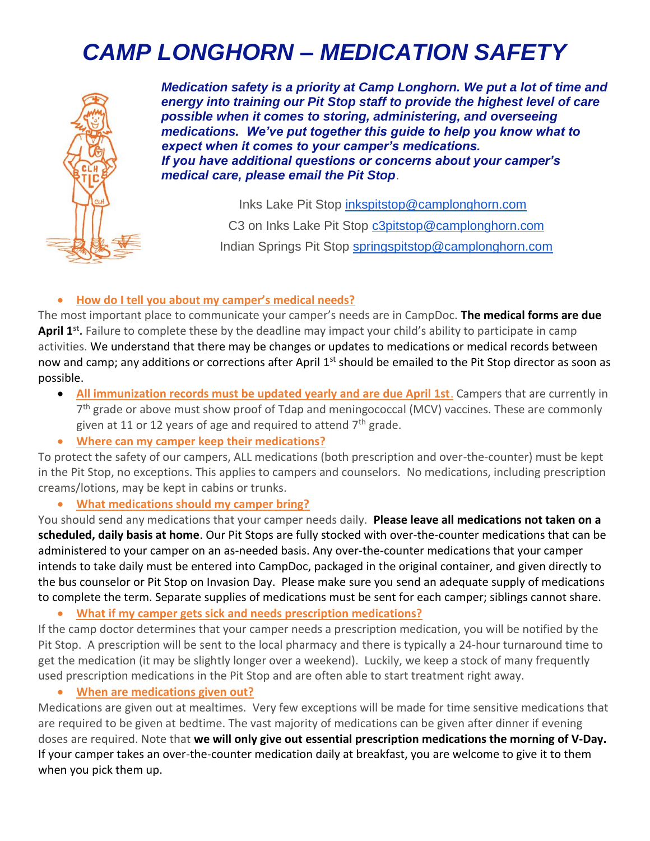# *CAMP LONGHORN – MEDICATION SAFETY*



*Medication safety is a priority at Camp Longhorn. We put a lot of time and energy into training our Pit Stop staff to provide the highest level of care possible when it comes to storing, administering, and overseeing medications. We've put together this guide to help you know what to expect when it comes to your camper's medications. If you have additional questions or concerns about your camper's medical care, please email the Pit Stop*.

> Inks Lake Pit Stop [inkspitstop@camplonghorn.com](mailto:Inkspitstop@camplonghorn.com)  C3 on Inks Lake Pit Stop [c3pitstop@camplonghorn.com](mailto:c3pitstop@camplonghorn.com) Indian Springs Pit Stop [springspitstop@camplonghorn.com](mailto:springspitstop@camplonghorn.com)

### • **How do I tell you about my camper's medical needs?**

The most important place to communicate your camper's needs are in CampDoc. **The medical forms are due April 1st .** Failure to complete these by the deadline may impact your child's ability to participate in camp activities. We understand that there may be changes or updates to medications or medical records between now and camp; any additions or corrections after April 1<sup>st</sup> should be emailed to the Pit Stop director as soon as possible.

- **All immunization records must be updated yearly and are due April 1st**. Campers that are currently in 7<sup>th</sup> grade or above must show proof of Tdap and meningococcal (MCV) vaccines. These are commonly given at 11 or 12 years of age and required to attend  $7<sup>th</sup>$  grade.
- **Where can my camper keep their medications?**

To protect the safety of our campers, ALL medications (both prescription and over-the-counter) must be kept in the Pit Stop, no exceptions. This applies to campers and counselors. No medications, including prescription creams/lotions, may be kept in cabins or trunks.

#### • **What medications should my camper bring?**

You should send any medications that your camper needs daily. **Please leave all medications not taken on a scheduled, daily basis at home**. Our Pit Stops are fully stocked with over-the-counter medications that can be administered to your camper on an as-needed basis. Any over-the-counter medications that your camper intends to take daily must be entered into CampDoc, packaged in the original container, and given directly to the bus counselor or Pit Stop on Invasion Day. Please make sure you send an adequate supply of medications to complete the term. Separate supplies of medications must be sent for each camper; siblings cannot share.

• **What if my camper gets sick and needs prescription medications?**

If the camp doctor determines that your camper needs a prescription medication, you will be notified by the Pit Stop. A prescription will be sent to the local pharmacy and there is typically a 24-hour turnaround time to get the medication (it may be slightly longer over a weekend). Luckily, we keep a stock of many frequently used prescription medications in the Pit Stop and are often able to start treatment right away.

• **When are medications given out?**

Medications are given out at mealtimes. Very few exceptions will be made for time sensitive medications that are required to be given at bedtime. The vast majority of medications can be given after dinner if evening doses are required. Note that **we will only give out essential prescription medications the morning of V-Day.**  If your camper takes an over-the-counter medication daily at breakfast, you are welcome to give it to them when you pick them up.